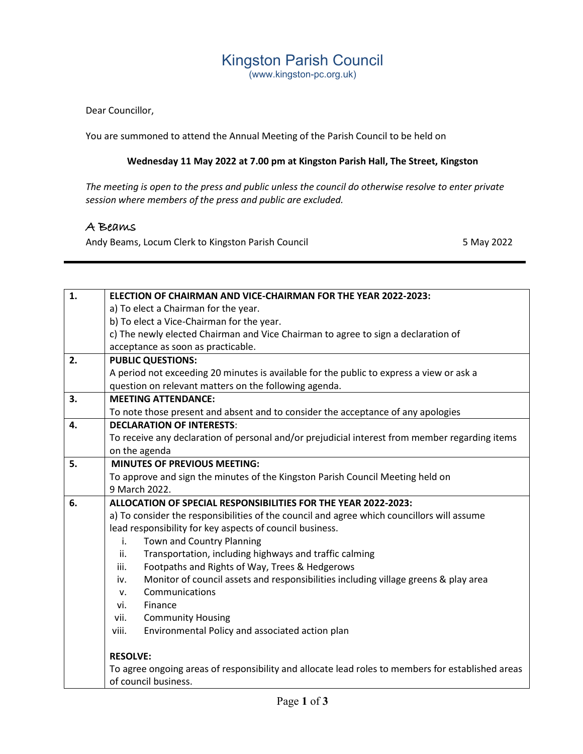## Kingston Parish Council

(www.kingston-pc.org.uk)

Dear Councillor,

You are summoned to attend the Annual Meeting of the Parish Council to be held on

## **Wednesday 11 May 2022 at 7.00 pm at Kingston Parish Hall, The Street, Kingston**

*The meeting is open to the press and public unless the council do otherwise resolve to enter private session where members of the press and public are excluded.*

## A Beams

Andy Beams, Locum Clerk to Kingston Parish Council **5 May 2022** 5 May 2022

| a) To elect a Chairman for the year.<br>b) To elect a Vice-Chairman for the year.<br>c) The newly elected Chairman and Vice Chairman to agree to sign a declaration of<br>acceptance as soon as practicable. |  |
|--------------------------------------------------------------------------------------------------------------------------------------------------------------------------------------------------------------|--|
|                                                                                                                                                                                                              |  |
|                                                                                                                                                                                                              |  |
|                                                                                                                                                                                                              |  |
|                                                                                                                                                                                                              |  |
| 2.<br><b>PUBLIC QUESTIONS:</b>                                                                                                                                                                               |  |
| A period not exceeding 20 minutes is available for the public to express a view or ask a                                                                                                                     |  |
| question on relevant matters on the following agenda.                                                                                                                                                        |  |
| <b>MEETING ATTENDANCE:</b><br>3.                                                                                                                                                                             |  |
| To note those present and absent and to consider the acceptance of any apologies                                                                                                                             |  |
| <b>DECLARATION OF INTERESTS:</b><br>4.                                                                                                                                                                       |  |
| To receive any declaration of personal and/or prejudicial interest from member regarding items                                                                                                               |  |
| on the agenda                                                                                                                                                                                                |  |
| <b>MINUTES OF PREVIOUS MEETING:</b><br>5.                                                                                                                                                                    |  |
| To approve and sign the minutes of the Kingston Parish Council Meeting held on                                                                                                                               |  |
| 9 March 2022.                                                                                                                                                                                                |  |
| ALLOCATION OF SPECIAL RESPONSIBILITIES FOR THE YEAR 2022-2023:<br>6.                                                                                                                                         |  |
| a) To consider the responsibilities of the council and agree which councillors will assume                                                                                                                   |  |
| lead responsibility for key aspects of council business.                                                                                                                                                     |  |
| <b>Town and Country Planning</b><br>i.                                                                                                                                                                       |  |
| ii.<br>Transportation, including highways and traffic calming                                                                                                                                                |  |
| Footpaths and Rights of Way, Trees & Hedgerows<br>iii.                                                                                                                                                       |  |
| Monitor of council assets and responsibilities including village greens & play area<br>iv.                                                                                                                   |  |
| Communications<br>v.                                                                                                                                                                                         |  |
| Finance<br>vi.                                                                                                                                                                                               |  |
| <b>Community Housing</b><br>vii.                                                                                                                                                                             |  |
| viii.<br>Environmental Policy and associated action plan                                                                                                                                                     |  |
| <b>RESOLVE:</b>                                                                                                                                                                                              |  |
| To agree ongoing areas of responsibility and allocate lead roles to members for established areas                                                                                                            |  |
| of council business.                                                                                                                                                                                         |  |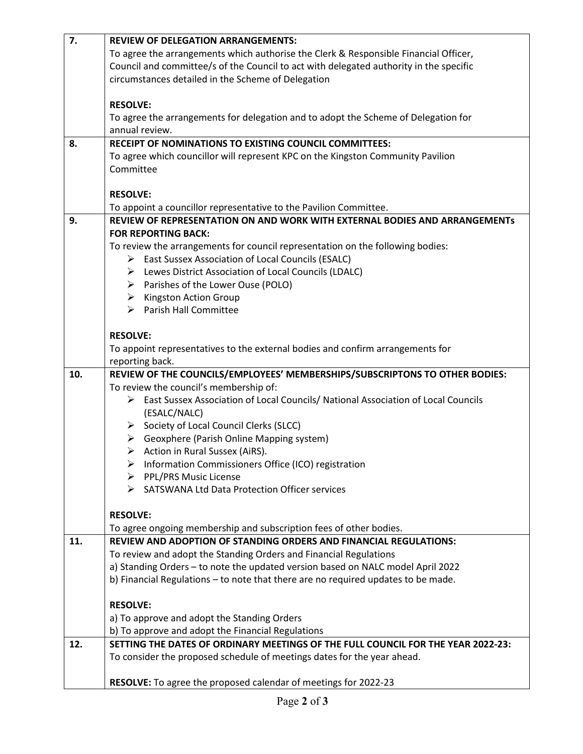| 7.  | <b>REVIEW OF DELEGATION ARRANGEMENTS:</b>                                              |
|-----|----------------------------------------------------------------------------------------|
|     | To agree the arrangements which authorise the Clerk & Responsible Financial Officer,   |
|     | Council and committee/s of the Council to act with delegated authority in the specific |
|     | circumstances detailed in the Scheme of Delegation                                     |
|     |                                                                                        |
|     | <b>RESOLVE:</b>                                                                        |
|     | To agree the arrangements for delegation and to adopt the Scheme of Delegation for     |
|     | annual review.                                                                         |
| 8.  | <b>RECEIPT OF NOMINATIONS TO EXISTING COUNCIL COMMITTEES:</b>                          |
|     | To agree which councillor will represent KPC on the Kingston Community Pavilion        |
|     | Committee                                                                              |
|     |                                                                                        |
|     | <b>RESOLVE:</b>                                                                        |
|     | To appoint a councillor representative to the Pavilion Committee.                      |
| 9.  | REVIEW OF REPRESENTATION ON AND WORK WITH EXTERNAL BODIES AND ARRANGEMENTS             |
|     | <b>FOR REPORTING BACK:</b>                                                             |
|     | To review the arrangements for council representation on the following bodies:         |
|     | > East Sussex Association of Local Councils (ESALC)                                    |
|     | > Lewes District Association of Local Councils (LDALC)                                 |
|     | $\triangleright$ Parishes of the Lower Ouse (POLO)                                     |
|     | $\triangleright$ Kingston Action Group                                                 |
|     | > Parish Hall Committee                                                                |
|     | <b>RESOLVE:</b>                                                                        |
|     | To appoint representatives to the external bodies and confirm arrangements for         |
|     | reporting back.                                                                        |
| 10. | REVIEW OF THE COUNCILS/EMPLOYEES' MEMBERSHIPS/SUBSCRIPTONS TO OTHER BODIES:            |
|     | To review the council's membership of:                                                 |
|     | > East Sussex Association of Local Councils/ National Association of Local Councils    |
|     | (ESALC/NALC)                                                                           |
|     | > Society of Local Council Clerks (SLCC)                                               |
|     | $\triangleright$ Geoxphere (Parish Online Mapping system)                              |
|     | $\triangleright$ Action in Rural Sussex (AiRS).                                        |
|     | Information Commissioners Office (ICO) registration                                    |
|     | > PPL/PRS Music License                                                                |
|     | > SATSWANA Ltd Data Protection Officer services                                        |
|     |                                                                                        |
|     | <b>RESOLVE:</b>                                                                        |
|     | To agree ongoing membership and subscription fees of other bodies.                     |
| 11. | <b>REVIEW AND ADOPTION OF STANDING ORDERS AND FINANCIAL REGULATIONS:</b>               |
|     | To review and adopt the Standing Orders and Financial Regulations                      |
|     | a) Standing Orders - to note the updated version based on NALC model April 2022        |
|     | b) Financial Regulations - to note that there are no required updates to be made.      |
|     |                                                                                        |
|     | <b>RESOLVE:</b>                                                                        |
|     | a) To approve and adopt the Standing Orders                                            |
|     | b) To approve and adopt the Financial Regulations                                      |
|     |                                                                                        |
| 12. | SETTING THE DATES OF ORDINARY MEETINGS OF THE FULL COUNCIL FOR THE YEAR 2022-23:       |
|     | To consider the proposed schedule of meetings dates for the year ahead.                |
|     | RESOLVE: To agree the proposed calendar of meetings for 2022-23                        |